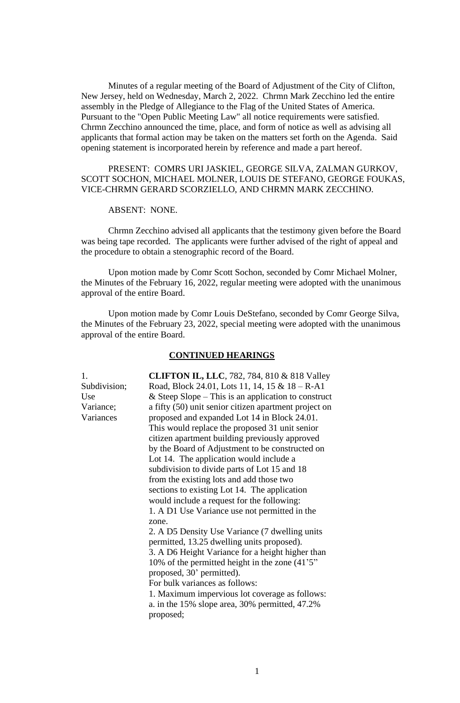Minutes of a regular meeting of the Board of Adjustment of the City of Clifton, New Jersey, held on Wednesday, March 2, 2022. Chrmn Mark Zecchino led the entire assembly in the Pledge of Allegiance to the Flag of the United States of America. Pursuant to the "Open Public Meeting Law" all notice requirements were satisfied. Chrmn Zecchino announced the time, place, and form of notice as well as advising all applicants that formal action may be taken on the matters set forth on the Agenda. Said opening statement is incorporated herein by reference and made a part hereof.

# PRESENT: COMRS URI JASKIEL, GEORGE SILVA, ZALMAN GURKOV, SCOTT SOCHON, MICHAEL MOLNER, LOUIS DE STEFANO, GEORGE FOUKAS, VICE-CHRMN GERARD SCORZIELLO, AND CHRMN MARK ZECCHINO.

ABSENT: NONE.

Chrmn Zecchino advised all applicants that the testimony given before the Board was being tape recorded. The applicants were further advised of the right of appeal and the procedure to obtain a stenographic record of the Board.

Upon motion made by Comr Scott Sochon, seconded by Comr Michael Molner, the Minutes of the February 16, 2022, regular meeting were adopted with the unanimous approval of the entire Board.

Upon motion made by Comr Louis DeStefano, seconded by Comr George Silva, the Minutes of the February 23, 2022, special meeting were adopted with the unanimous approval of the entire Board.

### **CONTINUED HEARINGS**

1. **CLIFTON IL, LLC**, 782, 784, 810 & 818 Valley Subdivision; Road, Block 24.01, Lots 11, 14, 15 & 18 – R-A1 Use & Steep Slope – This is an application to construct Variance; a fifty (50) unit senior citizen apartment project on Variances proposed and expanded Lot 14 in Block 24.01. This would replace the proposed 31 unit senior citizen apartment building previously approved by the Board of Adjustment to be constructed on Lot 14. The application would include a subdivision to divide parts of Lot 15 and 18 from the existing lots and add those two sections to existing Lot 14. The application would include a request for the following: 1. A D1 Use Variance use not permitted in the zone. 2. A D5 Density Use Variance (7 dwelling units permitted, 13.25 dwelling units proposed). 3. A D6 Height Variance for a height higher than 10% of the permitted height in the zone (41'5" proposed, 30' permitted). For bulk variances as follows: 1. Maximum impervious lot coverage as follows: a. in the 15% slope area, 30% permitted, 47.2% proposed;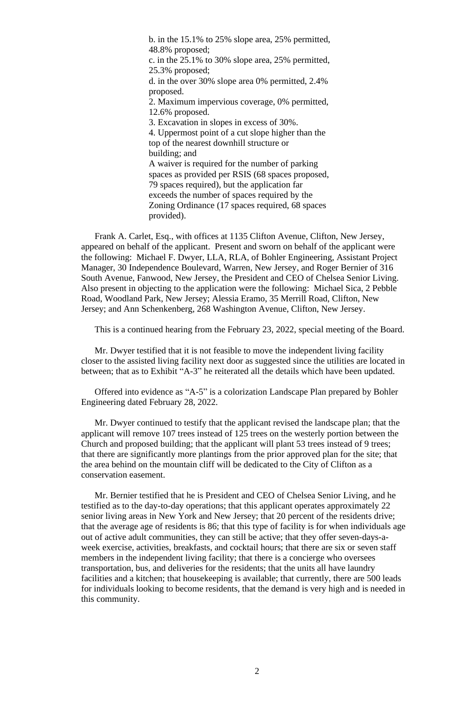b. in the 15.1% to 25% slope area, 25% permitted, 48.8% proposed; c. in the 25.1% to 30% slope area, 25% permitted, 25.3% proposed; d. in the over 30% slope area 0% permitted, 2.4% proposed. 2. Maximum impervious coverage, 0% permitted, 12.6% proposed. 3. Excavation in slopes in excess of 30%. 4. Uppermost point of a cut slope higher than the top of the nearest downhill structure or building; and A waiver is required for the number of parking spaces as provided per RSIS (68 spaces proposed, 79 spaces required), but the application far exceeds the number of spaces required by the Zoning Ordinance (17 spaces required, 68 spaces provided).

Frank A. Carlet, Esq., with offices at 1135 Clifton Avenue, Clifton, New Jersey, appeared on behalf of the applicant. Present and sworn on behalf of the applicant were the following: Michael F. Dwyer, LLA, RLA, of Bohler Engineering, Assistant Project Manager, 30 Independence Boulevard, Warren, New Jersey, and Roger Bernier of 316 South Avenue, Fanwood, New Jersey, the President and CEO of Chelsea Senior Living. Also present in objecting to the application were the following: Michael Sica, 2 Pebble Road, Woodland Park, New Jersey; Alessia Eramo, 35 Merrill Road, Clifton, New Jersey; and Ann Schenkenberg, 268 Washington Avenue, Clifton, New Jersey.

This is a continued hearing from the February 23, 2022, special meeting of the Board.

Mr. Dwyer testified that it is not feasible to move the independent living facility closer to the assisted living facility next door as suggested since the utilities are located in between; that as to Exhibit "A-3" he reiterated all the details which have been updated.

Offered into evidence as "A-5" is a colorization Landscape Plan prepared by Bohler Engineering dated February 28, 2022.

Mr. Dwyer continued to testify that the applicant revised the landscape plan; that the applicant will remove 107 trees instead of 125 trees on the westerly portion between the Church and proposed building; that the applicant will plant 53 trees instead of 9 trees; that there are significantly more plantings from the prior approved plan for the site; that the area behind on the mountain cliff will be dedicated to the City of Clifton as a conservation easement.

Mr. Bernier testified that he is President and CEO of Chelsea Senior Living, and he testified as to the day-to-day operations; that this applicant operates approximately 22 senior living areas in New York and New Jersey; that 20 percent of the residents drive; that the average age of residents is 86; that this type of facility is for when individuals age out of active adult communities, they can still be active; that they offer seven-days-aweek exercise, activities, breakfasts, and cocktail hours; that there are six or seven staff members in the independent living facility; that there is a concierge who oversees transportation, bus, and deliveries for the residents; that the units all have laundry facilities and a kitchen; that house keeping is available; that currently, there are 500 leads for individuals looking to become residents, that the demand is very high and is needed in this community.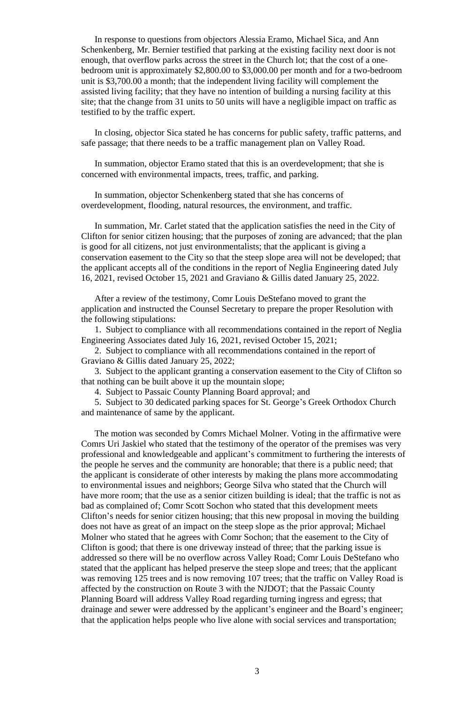In response to questions from objectors Alessia Eramo, Michael Sica, and Ann Schenkenberg, Mr. Bernier testified that parking at the existing facility next door is not enough, that overflow parks across the street in the Church lot; that the cost of a onebedroom unit is approximately \$2,800.00 to \$3,000.00 per month and for a two-bedroom unit is \$3,700.00 a month; that the independent living facility will complement the assisted living facility; that they have no intention of building a nursing facility at this site; that the change from 31 units to 50 units will have a negligible impact on traffic as testified to by the traffic expert.

In closing, objector Sica stated he has concerns for public safety, traffic patterns, and safe passage; that there needs to be a traffic management plan on Valley Road.

In summation, objector Eramo stated that this is an overdevelopment; that she is concerned with environmental impacts, trees, traffic, and parking.

In summation, objector Schenkenberg stated that she has concerns of overdevelopment, flooding, natural resources, the environment, and traffic.

In summation, Mr. Carlet stated that the application satisfies the need in the City of Clifton for senior citizen housing; that the purposes of zoning are advanced; that the plan is good for all citizens, not just environmentalists; that the applicant is giving a conservation easement to the City so that the steep slope area will not be developed; that the applicant accepts all of the conditions in the report of Neglia Engineering dated July 16, 2021, revised October 15, 2021 and Graviano & Gillis dated January 25, 2022.

After a review of the testimony, Comr Louis DeStefano moved to grant the application and instructed the Counsel Secretary to prepare the proper Resolution with the following stipulations:

1. Subject to compliance with all recommendations contained in the report of Neglia Engineering Associates dated July 16, 2021, revised October 15, 2021;

2. Subject to compliance with all recommendations contained in the report of Graviano & Gillis dated January 25, 2022;

3. Subject to the applicant granting a conservation easement to the City of Clifton so that nothing can be built above it up the mountain slope;

4. Subject to Passaic County Planning Board approval; and

5. Subject to 30 dedicated parking spaces for St. George's Greek Orthodox Church and maintenance of same by the applicant.

The motion was seconded by Comrs Michael Molner. Voting in the affirmative were Comrs Uri Jaskiel who stated that the testimony of the operator of the premises was very professional and knowledgeable and applicant's commitment to furthering the interests of the people he serves and the community are honorable; that there is a public need; that the applicant is considerate of other interests by making the plans more accommodating to environmental issues and neighbors; George Silva who stated that the Church will have more room; that the use as a senior citizen building is ideal; that the traffic is not as bad as complained of; Comr Scott Sochon who stated that this development meets Clifton's needs for senior citizen housing; that this new proposal in moving the building does not have as great of an impact on the steep slope as the prior approval; Michael Molner who stated that he agrees with Comr Sochon; that the easement to the City of Clifton is good; that there is one driveway instead of three; that the parking issue is addressed so there will be no overflow across Valley Road; Comr Louis DeStefano who stated that the applicant has helped preserve the steep slope and trees; that the applicant was removing 125 trees and is now removing 107 trees; that the traffic on Valley Road is affected by the construction on Route 3 with the NJDOT; that the Passaic County Planning Board will address Valley Road regarding turning ingress and egress; that drainage and sewer were addressed by the applicant's engineer and the Board's engineer; that the application helps people who live alone with social services and transportation;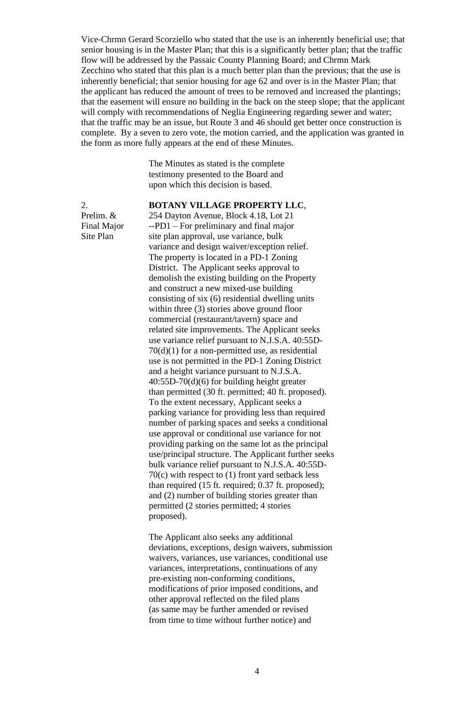Vice-Chrmn Gerard Scorziello who stated that the use is an inherently beneficial use; that senior housing is in the Master Plan; that this is a significantly better plan; that the traffic flow will be addressed by the Passaic County Planning Board; and Chrmn Mark Zecchino who stated that this plan is a much better plan than the previous; that the use is inherently beneficial; that senior housing for age 62 and over is in the Master Plan; that the applicant has reduced the amount of trees to be removed and increased the plantings; that the easement will ensure no building in the back on the steep slope; that the applicant will comply with recommendations of Neglia Engineering regarding sewer and water; that the traffic may be an issue, but Route 3 and 46 should get better once construction is complete. By a seven to zero vote, the motion carried, and the application was granted in the form as more fully appears at the end of these Minutes.

> The Minutes as stated is the complete testimony presented to the Board and upon which this decision is based.

## 2. **BOTANY VILLAGE PROPERTY LLC**,

Prelim. & 254 Dayton Avenue, Block 4.18, Lot 21 Final Major --PD1 – For preliminary and final major Site Plan site plan approval, use variance, bulk variance and design waiver/exception relief. The property is located in a PD-1 Zoning District. The Applicant seeks approval to demolish the existing building on the Property and construct a new mixed-use building consisting of six (6) residential dwelling units within three (3) stories above ground floor commercial (restaurant/tavern) space and related site improvements. The Applicant seeks use variance relief pursuant to N.J.S.A. 40:55D-70(d)(1) for a non-permitted use, as residential use is not permitted in the PD-1 Zoning District and a height variance pursuant to N.J.S.A. 40:55D-70(d)(6) for building height greater than permitted (30 ft. permitted; 40 ft. proposed). To the extent necessary, Applicant seeks a parking variance for providing less than required number of parking spaces and seeks a conditional use approval or conditional use variance for not providing parking on the same lot as the principal use/principal structure. The Applicant further seeks bulk variance relief pursuant to N.J.S.A. 40:55D-70(c) with respect to (1) front yard setback less than required (15 ft. required; 0.37 ft. proposed); and (2) number of building stories greater than permitted (2 stories permitted; 4 stories proposed).

> The Applicant also seeks any additional deviations, exceptions, design waivers, submission waivers, variances, use variances, conditional use variances, interpretations, continuations of any pre-existing non-conforming conditions, modifications of prior imposed conditions, and other approval reflected on the filed plans (as same may be further amended or revised from time to time without further notice) and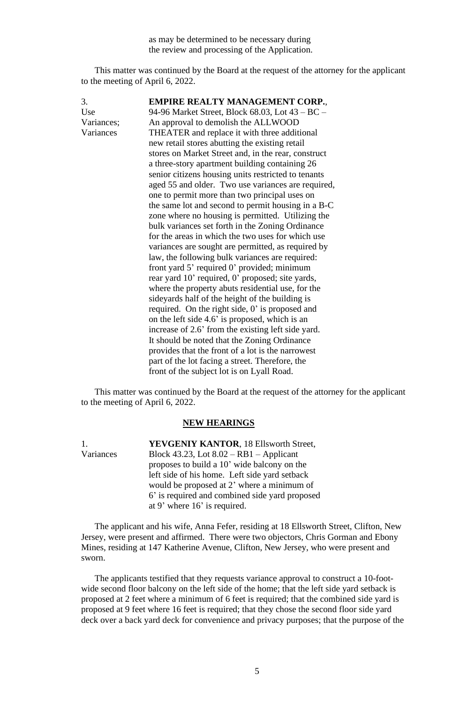as may be determined to be necessary during the review and processing of the Application.

This matter was continued by the Board at the request of the attorney for the applicant to the meeting of April 6, 2022.

| 3.         | <b>EMPIRE REALTY MANAGEMENT CORP.,</b>              |
|------------|-----------------------------------------------------|
| Use        | 94-96 Market Street, Block 68.03, Lot 43 – BC –     |
| Variances; | An approval to demolish the ALLWOOD                 |
| Variances  | THEATER and replace it with three additional        |
|            | new retail stores abutting the existing retail      |
|            | stores on Market Street and, in the rear, construct |
|            | a three-story apartment building containing 26      |
|            | senior citizens housing units restricted to tenants |
|            | aged 55 and older. Two use variances are required,  |
|            | one to permit more than two principal uses on       |
|            | the same lot and second to permit housing in a B-C  |
|            | zone where no housing is permitted. Utilizing the   |
|            | bulk variances set forth in the Zoning Ordinance    |
|            | for the areas in which the two uses for which use   |
|            | variances are sought are permitted, as required by  |
|            | law, the following bulk variances are required:     |
|            | front yard 5' required 0' provided; minimum         |
|            | rear yard 10' required, 0' proposed; site yards,    |
|            | where the property abuts residential use, for the   |
|            | sideyards half of the height of the building is     |
|            | required. On the right side, 0' is proposed and     |
|            | on the left side 4.6' is proposed, which is an      |
|            | increase of 2.6' from the existing left side yard.  |
|            | It should be noted that the Zoning Ordinance        |
|            | provides that the front of a lot is the narrowest   |
|            | part of the lot facing a street. Therefore, the     |
|            | front of the subject lot is on Lyall Road.          |

This matter was continued by the Board at the request of the attorney for the applicant to the meeting of April 6, 2022.

### **NEW HEARINGS**

1. **YEVGENIY KANTOR**, 18 Ellsworth Street, Variances Block 43.23, Lot 8.02 – RB1 – Applicant proposes to build a 10' wide balcony on the left side of his home. Left side yard setback would be proposed at 2' where a minimum of 6' is required and combined side yard proposed at 9' where 16' is required.

The applicant and his wife, Anna Fefer, residing at 18 Ellsworth Street, Clifton, New Jersey, were present and affirmed. There were two objectors, Chris Gorman and Ebony Mines, residing at 147 Katherine Avenue, Clifton, New Jersey, who were present and sworn.

The applicants testified that they requests variance approval to construct a 10-footwide second floor balcony on the left side of the home; that the left side yard setback is proposed at 2 feet where a minimum of 6 feet is required; that the combined side yard is proposed at 9 feet where 16 feet is required; that they chose the second floor side yard deck over a back yard deck for convenience and privacy purposes; that the purpose of the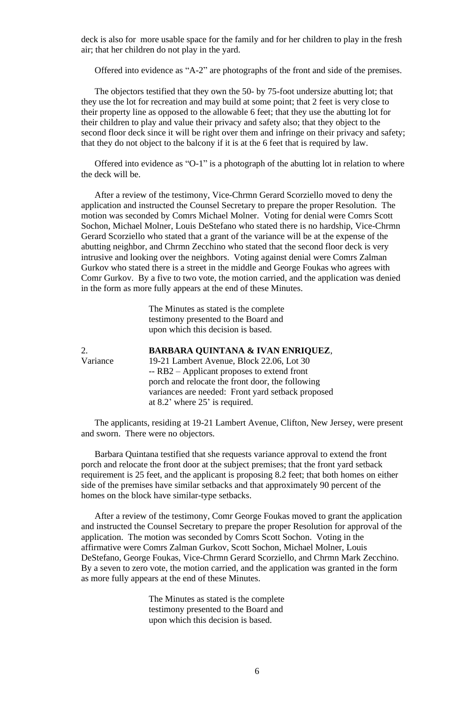deck is also for more usable space for the family and for her children to play in the fresh air; that her children do not play in the yard.

Offered into evidence as "A-2" are photographs of the front and side of the premises.

The objectors testified that they own the 50- by 75-foot undersize abutting lot; that they use the lot for recreation and may build at some point; that 2 feet is very close to their property line as opposed to the allowable 6 feet; that they use the abutting lot for their children to play and value their privacy and safety also; that they object to the second floor deck since it will be right over them and infringe on their privacy and safety; that they do not object to the balcony if it is at the 6 feet that is required by law.

Offered into evidence as "O-1" is a photograph of the abutting lot in relation to where the deck will be.

After a review of the testimony, Vice-Chrmn Gerard Scorziello moved to deny the application and instructed the Counsel Secretary to prepare the proper Resolution. The motion was seconded by Comrs Michael Molner. Voting for denial were Comrs Scott Sochon, Michael Molner, Louis DeStefano who stated there is no hardship, Vice-Chrmn Gerard Scorziello who stated that a grant of the variance will be at the expense of the abutting neighbor, and Chrmn Zecchino who stated that the second floor deck is very intrusive and looking over the neighbors. Voting against denial were Comrs Zalman Gurkov who stated there is a street in the middle and George Foukas who agrees with Comr Gurkov. By a five to two vote, the motion carried, and the application was denied in the form as more fully appears at the end of these Minutes.

> The Minutes as stated is the complete testimony presented to the Board and upon which this decision is based.

2. **BARBARA QUINTANA & IVAN ENRIQUEZ**, Variance 19-21 Lambert Avenue, Block 22.06, Lot 30 -- RB2 – Applicant proposes to extend front porch and relocate the front door, the following variances are needed: Front yard setback proposed at 8.2' where 25' is required.

The applicants, residing at 19-21 Lambert Avenue, Clifton, New Jersey, were present and sworn. There were no objectors.

Barbara Quintana testified that she requests variance approval to extend the front porch and relocate the front door at the subject premises; that the front yard setback requirement is 25 feet, and the applicant is proposing 8.2 feet; that both homes on either side of the premises have similar setbacks and that approximately 90 percent of the homes on the block have similar-type setbacks.

After a review of the testimony, Comr George Foukas moved to grant the application and instructed the Counsel Secretary to prepare the proper Resolution for approval of the application. The motion was seconded by Comrs Scott Sochon. Voting in the affirmative were Comrs Zalman Gurkov, Scott Sochon, Michael Molner, Louis DeStefano, George Foukas, Vice-Chrmn Gerard Scorziello, and Chrmn Mark Zecchino. By a seven to zero vote, the motion carried, and the application was granted in the form as more fully appears at the end of these Minutes.

> The Minutes as stated is the complete testimony presented to the Board and upon which this decision is based.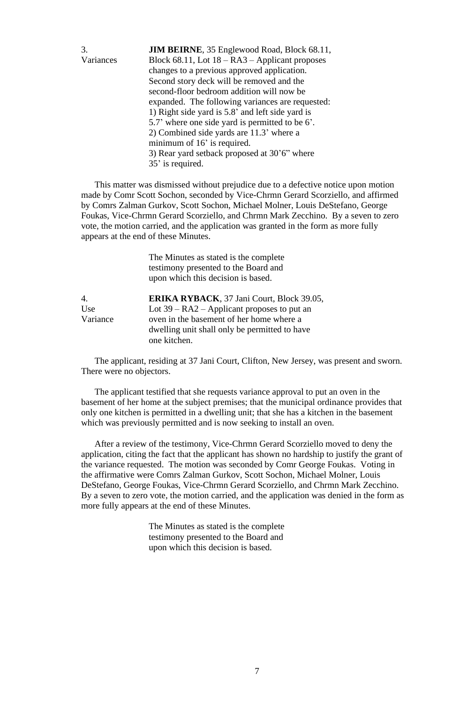| 3.        | <b>JIM BEIRNE, 35 Englewood Road, Block 68.11,</b>  |
|-----------|-----------------------------------------------------|
| Variances | Block $68.11$ , Lot $18 - RA3 -$ Applicant proposes |
|           | changes to a previous approved application.         |
|           | Second story deck will be removed and the           |
|           | second-floor bedroom addition will now be           |
|           | expanded. The following variances are requested:    |
|           | 1) Right side yard is 5.8' and left side yard is    |
|           | 5.7' where one side yard is permitted to be 6'.     |
|           | 2) Combined side yards are 11.3' where a            |
|           | minimum of 16' is required.                         |
|           | 3) Rear yard setback proposed at 30'6" where        |
|           | 35' is required.                                    |

This matter was dismissed without prejudice due to a defective notice upon motion made by Comr Scott Sochon, seconded by Vice-Chrmn Gerard Scorziello, and affirmed by Comrs Zalman Gurkov, Scott Sochon, Michael Molner, Louis DeStefano, George Foukas, Vice-Chrmn Gerard Scorziello, and Chrmn Mark Zecchino. By a seven to zero vote, the motion carried, and the application was granted in the form as more fully appears at the end of these Minutes.

|          | The Minutes as stated is the complete<br>testimony presented to the Board and<br>upon which this decision is based. |
|----------|---------------------------------------------------------------------------------------------------------------------|
| 4.       | ERIKA RYBACK, 37 Jani Court, Block 39.05,                                                                           |
| Use      | Lot $39 - RA2 - Applicant proposes to put an$                                                                       |
| Variance | oven in the basement of her home where a                                                                            |
|          | dwelling unit shall only be permitted to have                                                                       |
|          | one kitchen.                                                                                                        |

The applicant, residing at 37 Jani Court, Clifton, New Jersey, was present and sworn. There were no objectors.

The applicant testified that she requests variance approval to put an oven in the basement of her home at the subject premises; that the municipal ordinance provides that only one kitchen is permitted in a dwelling unit; that she has a kitchen in the basement which was previously permitted and is now seeking to install an oven.

After a review of the testimony, Vice-Chrmn Gerard Scorziello moved to deny the application, citing the fact that the applicant has shown no hardship to justify the grant of the variance requested. The motion was seconded by Comr George Foukas. Voting in the affirmative were Comrs Zalman Gurkov, Scott Sochon, Michael Molner, Louis DeStefano, George Foukas, Vice-Chrmn Gerard Scorziello, and Chrmn Mark Zecchino. By a seven to zero vote, the motion carried, and the application was denied in the form as more fully appears at the end of these Minutes.

> The Minutes as stated is the complete testimony presented to the Board and upon which this decision is based.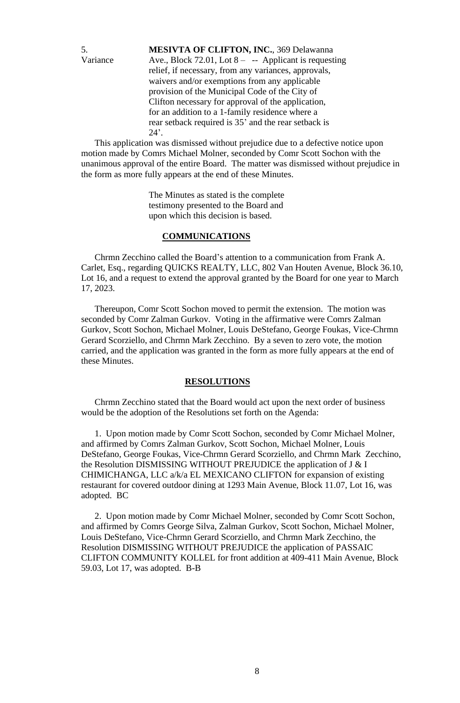5. **MESIVTA OF CLIFTON, INC.**, 369 Delawanna Variance Ave., Block 72.01, Lot  $8 - -$  Applicant is requesting relief, if necessary, from any variances, approvals, waivers and/or exemptions from any applicable provision of the Municipal Code of the City of Clifton necessary for approval of the application, for an addition to a 1-family residence where a rear setback required is 35' and the rear setback is  $24$ <sup>'</sup>.

This application was dismissed without prejudice due to a defective notice upon motion made by Comrs Michael Molner, seconded by Comr Scott Sochon with the unanimous approval of the entire Board. The matter was dismissed without prejudice in the form as more fully appears at the end of these Minutes.

> The Minutes as stated is the complete testimony presented to the Board and upon which this decision is based.

### **COMMUNICATIONS**

Chrmn Zecchino called the Board's attention to a communication from Frank A. Carlet, Esq., regarding QUICKS REALTY, LLC, 802 Van Houten Avenue, Block 36.10, Lot 16, and a request to extend the approval granted by the Board for one year to March 17, 2023.

Thereupon, Comr Scott Sochon moved to permit the extension. The motion was seconded by Comr Zalman Gurkov. Voting in the affirmative were Comrs Zalman Gurkov, Scott Sochon, Michael Molner, Louis DeStefano, George Foukas, Vice-Chrmn Gerard Scorziello, and Chrmn Mark Zecchino. By a seven to zero vote, the motion carried, and the application was granted in the form as more fully appears at the end of these Minutes.

### **RESOLUTIONS**

Chrmn Zecchino stated that the Board would act upon the next order of business would be the adoption of the Resolutions set forth on the Agenda:

1. Upon motion made by Comr Scott Sochon, seconded by Comr Michael Molner, and affirmed by Comrs Zalman Gurkov, Scott Sochon, Michael Molner, Louis DeStefano, George Foukas, Vice-Chrmn Gerard Scorziello, and Chrmn Mark Zecchino, the Resolution DISMISSING WITHOUT PREJUDICE the application of J & I CHIMICHANGA, LLC a/k/a EL MEXICANO CLIFTON for expansion of existing restaurant for covered outdoor dining at 1293 Main Avenue, Block 11.07, Lot 16, was adopted. BC

2. Upon motion made by Comr Michael Molner, seconded by Comr Scott Sochon, and affirmed by Comrs George Silva, Zalman Gurkov, Scott Sochon, Michael Molner, Louis DeStefano, Vice-Chrmn Gerard Scorziello, and Chrmn Mark Zecchino, the Resolution DISMISSING WITHOUT PREJUDICE the application of PASSAIC CLIFTON COMMUNITY KOLLEL for front addition at 409-411 Main Avenue, Block 59.03, Lot 17, was adopted. B-B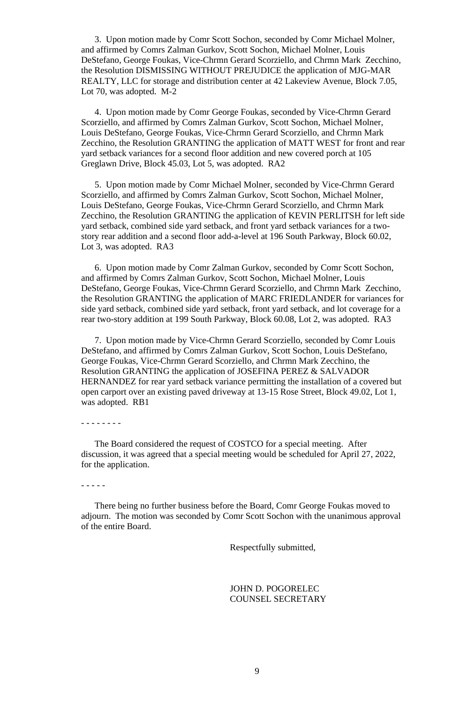3. Upon motion made by Comr Scott Sochon, seconded by Comr Michael Molner, and affirmed by Comrs Zalman Gurkov, Scott Sochon, Michael Molner, Louis DeStefano, George Foukas, Vice-Chrmn Gerard Scorziello, and Chrmn Mark Zecchino, the Resolution DISMISSING WITHOUT PREJUDICE the application of MJG-MAR REALTY, LLC for storage and distribution center at 42 Lakeview Avenue, Block 7.05, Lot 70, was adopted. M-2

4. Upon motion made by Comr George Foukas, seconded by Vice-Chrmn Gerard Scorziello, and affirmed by Comrs Zalman Gurkov, Scott Sochon, Michael Molner, Louis DeStefano, George Foukas, Vice-Chrmn Gerard Scorziello, and Chrmn Mark Zecchino, the Resolution GRANTING the application of MATT WEST for front and rear yard setback variances for a second floor addition and new covered porch at 105 Greglawn Drive, Block 45.03, Lot 5, was adopted. RA2

5. Upon motion made by Comr Michael Molner, seconded by Vice-Chrmn Gerard Scorziello, and affirmed by Comrs Zalman Gurkov, Scott Sochon, Michael Molner, Louis DeStefano, George Foukas, Vice-Chrmn Gerard Scorziello, and Chrmn Mark Zecchino, the Resolution GRANTING the application of KEVIN PERLITSH for left side yard setback, combined side yard setback, and front yard setback variances for a twostory rear addition and a second floor add-a-level at 196 South Parkway, Block 60.02, Lot 3, was adopted. RA3

6. Upon motion made by Comr Zalman Gurkov, seconded by Comr Scott Sochon, and affirmed by Comrs Zalman Gurkov, Scott Sochon, Michael Molner, Louis DeStefano, George Foukas, Vice-Chrmn Gerard Scorziello, and Chrmn Mark Zecchino, the Resolution GRANTING the application of MARC FRIEDLANDER for variances for side yard setback, combined side yard setback, front yard setback, and lot coverage for a rear two-story addition at 199 South Parkway, Block 60.08, Lot 2, was adopted. RA3

7. Upon motion made by Vice-Chrmn Gerard Scorziello, seconded by Comr Louis DeStefano, and affirmed by Comrs Zalman Gurkov, Scott Sochon, Louis DeStefano, George Foukas, Vice-Chrmn Gerard Scorziello, and Chrmn Mark Zecchino, the Resolution GRANTING the application of JOSEFINA PEREZ & SALVADOR HERNANDEZ for rear yard setback variance permitting the installation of a covered but open carport over an existing paved driveway at 13-15 Rose Street, Block 49.02, Lot 1, was adopted. RB1

- - - - - - - -

The Board considered the request of COSTCO for a special meeting. After discussion, it was agreed that a special meeting would be scheduled for April 27, 2022, for the application.

- - - - -

There being no further business before the Board, Comr George Foukas moved to adjourn. The motion was seconded by Comr Scott Sochon with the unanimous approval of the entire Board.

Respectfully submitted,

JOHN D. POGORELEC COUNSEL SECRETARY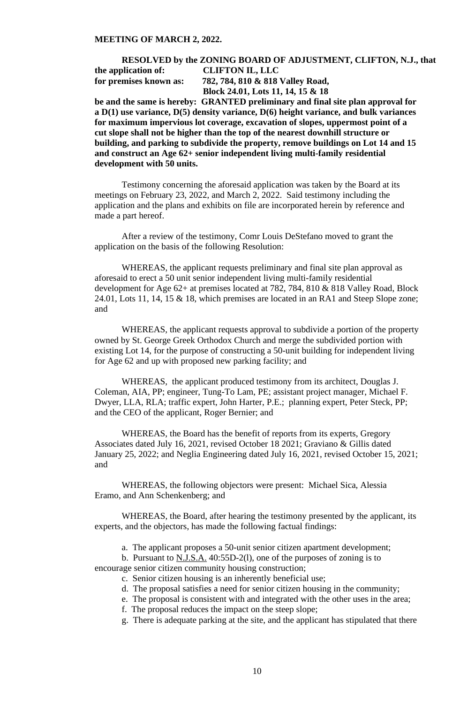## **RESOLVED by the ZONING BOARD OF ADJUSTMENT, CLIFTON, N.J., that the application of: CLIFTON IL, LLC for premises known as: 782, 784, 810 & 818 Valley Road, Block 24.01, Lots 11, 14, 15 & 18**

**be and the same is hereby: GRANTED preliminary and final site plan approval for a D(1) use variance, D(5) density variance, D(6) height variance, and bulk variances for maximum impervious lot coverage, excavation of slopes, uppermost point of a cut slope shall not be higher than the top of the nearest downhill structure or building, and parking to subdivide the property, remove buildings on Lot 14 and 15 and construct an Age 62+ senior independent living multi-family residential development with 50 units.**

Testimony concerning the aforesaid application was taken by the Board at its meetings on February 23, 2022, and March 2, 2022. Said testimony including the application and the plans and exhibits on file are incorporated herein by reference and made a part hereof.

After a review of the testimony, Comr Louis DeStefano moved to grant the application on the basis of the following Resolution:

WHEREAS, the applicant requests preliminary and final site plan approval as aforesaid to erect a 50 unit senior independent living multi-family residential development for Age 62+ at premises located at 782, 784, 810 & 818 Valley Road, Block 24.01, Lots 11, 14, 15 & 18, which premises are located in an RA1 and Steep Slope zone; and

WHEREAS, the applicant requests approval to subdivide a portion of the property owned by St. George Greek Orthodox Church and merge the subdivided portion with existing Lot 14, for the purpose of constructing a 50-unit building for independent living for Age 62 and up with proposed new parking facility; and

WHEREAS, the applicant produced testimony from its architect, Douglas J. Coleman, AIA, PP; engineer, Tung-To Lam, PE; assistant project manager, Michael F. Dwyer, LLA, RLA; traffic expert, John Harter, P.E.; planning expert, Peter Steck, PP; and the CEO of the applicant, Roger Bernier; and

WHEREAS, the Board has the benefit of reports from its experts, Gregory Associates dated July 16, 2021, revised October 18 2021; Graviano & Gillis dated January 25, 2022; and Neglia Engineering dated July 16, 2021, revised October 15, 2021; and

WHEREAS, the following objectors were present: Michael Sica, Alessia Eramo, and Ann Schenkenberg; and

WHEREAS, the Board, after hearing the testimony presented by the applicant, its experts, and the objectors, has made the following factual findings:

a. The applicant proposes a 50-unit senior citizen apartment development;

b. Pursuant to N.J.S.A. 40:55D-2(l), one of the purposes of zoning is to

encourage senior citizen community housing construction;

- c. Senior citizen housing is an inherently beneficial use;
- d. The proposal satisfies a need for senior citizen housing in the community;
- e. The proposal is consistent with and integrated with the other uses in the area;
- f. The proposal reduces the impact on the steep slope;
- g. There is adequate parking at the site, and the applicant has stipulated that there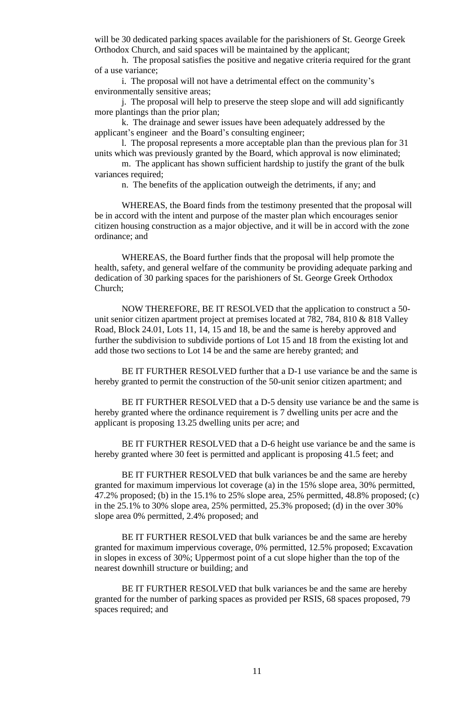will be 30 dedicated parking spaces available for the parishioners of St. George Greek Orthodox Church, and said spaces will be maintained by the applicant;

h. The proposal satisfies the positive and negative criteria required for the grant of a use variance;

i. The proposal will not have a detrimental effect on the community's environmentally sensitive areas;

j. The proposal will help to preserve the steep slope and will add significantly more plantings than the prior plan;

k. The drainage and sewer issues have been adequately addressed by the applicant's engineer and the Board's consulting engineer;

l. The proposal represents a more acceptable plan than the previous plan for 31 units which was previously granted by the Board, which approval is now eliminated;

m. The applicant has shown sufficient hardship to justify the grant of the bulk variances required;

n. The benefits of the application outweigh the detriments, if any; and

WHEREAS, the Board finds from the testimony presented that the proposal will be in accord with the intent and purpose of the master plan which encourages senior citizen housing construction as a major objective, and it will be in accord with the zone ordinance; and

WHEREAS, the Board further finds that the proposal will help promote the health, safety, and general welfare of the community be providing adequate parking and dedication of 30 parking spaces for the parishioners of St. George Greek Orthodox Church;

NOW THEREFORE, BE IT RESOLVED that the application to construct a 50 unit senior citizen apartment project at premises located at 782, 784, 810 & 818 Valley Road, Block 24.01, Lots 11, 14, 15 and 18, be and the same is hereby approved and further the subdivision to subdivide portions of Lot 15 and 18 from the existing lot and add those two sections to Lot 14 be and the same are hereby granted; and

BE IT FURTHER RESOLVED further that a D-1 use variance be and the same is hereby granted to permit the construction of the 50-unit senior citizen apartment; and

BE IT FURTHER RESOLVED that a D-5 density use variance be and the same is hereby granted where the ordinance requirement is 7 dwelling units per acre and the applicant is proposing 13.25 dwelling units per acre; and

BE IT FURTHER RESOLVED that a D-6 height use variance be and the same is hereby granted where 30 feet is permitted and applicant is proposing 41.5 feet; and

BE IT FURTHER RESOLVED that bulk variances be and the same are hereby granted for maximum impervious lot coverage (a) in the 15% slope area, 30% permitted, 47.2% proposed; (b) in the 15.1% to 25% slope area, 25% permitted, 48.8% proposed; (c) in the 25.1% to 30% slope area, 25% permitted, 25.3% proposed; (d) in the over 30% slope area 0% permitted, 2.4% proposed; and

BE IT FURTHER RESOLVED that bulk variances be and the same are hereby granted for maximum impervious coverage, 0% permitted, 12.5% proposed; Excavation in slopes in excess of 30%; Uppermost point of a cut slope higher than the top of the nearest downhill structure or building; and

BE IT FURTHER RESOLVED that bulk variances be and the same are hereby granted for the number of parking spaces as provided per RSIS, 68 spaces proposed, 79 spaces required; and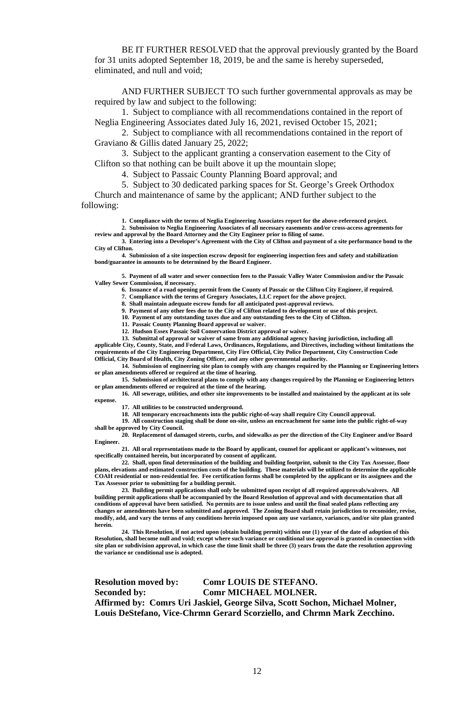BE IT FURTHER RESOLVED that the approval previously granted by the Board for 31 units adopted September 18, 2019, be and the same is hereby superseded, eliminated, and null and void;

AND FURTHER SUBJECT TO such further governmental approvals as may be required by law and subject to the following:

1. Subject to compliance with all recommendations contained in the report of Neglia Engineering Associates dated July 16, 2021, revised October 15, 2021;

2. Subject to compliance with all recommendations contained in the report of Graviano & Gillis dated January 25, 2022;

3. Subject to the applicant granting a conservation easement to the City of Clifton so that nothing can be built above it up the mountain slope;

4. Subject to Passaic County Planning Board approval; and

5. Subject to 30 dedicated parking spaces for St. George's Greek Orthodox

Church and maintenance of same by the applicant; AND further subject to the following:

**1. Compliance with the terms of Neglia Engineering Associates report for the above-referenced project.**

**2. Submission to Neglia Engineering Associates of all necessary easements and/or cross-access agreements for review and approval by the Board Attorney and the City Engineer prior to filing of same.**

**3. Entering into a Developer's Agreement with the City of Clifton and payment of a site performance bond to the City of Clifton.**

**4. Submission of a site inspection escrow deposit for engineering inspection fees and safety and stabilization bond/guarantee in amounts to be determined by the Board Engineer.**

**5. Payment of all water and sewer connection fees to the Passaic Valley Water Commission and/or the Passaic Valley Sewer Commission, if necessary.**

**6. Issuance of a road opening permit from the County of Passaic or the Clifton City Engineer, if required.**

**7. Compliance with the terms of Gregory Associates, LLC report for the above project.**

**8. Shall maintain adequate escrow funds for all anticipated post-approval reviews.**

**9. Payment of any other fees due to the City of Clifton related to development or use of this project.**

**10. Payment of any outstanding taxes due and any outstanding fees to the City of Clifton.**

**11. Passaic County Planning Board approval or waiver.**

**12. Hudson Essex Passaic Soil Conservation District approval or waiver.**

**13. Submittal of approval or waiver of same from any additional agency having jurisdiction, including all applicable City, County, State, and Federal Laws, Ordinances, Regulations, and Directives, including without limitations the requirements of the City Engineering Department, City Fire Official, City Police Department, City Construction Code Official, City Board of Health, City Zoning Officer, and any other governmental authority.**

**14. Submission of engineering site plan to comply with any changes required by the Planning or Engineering letters or plan amendments offered or required at the time of hearing.**

**15. Submission of architectural plans to comply with any changes required by the Planning or Engineering letters or plan amendments offered or required at the time of the hearing.**

**16. All sewerage, utilities, and other site improvements to be installed and maintained by the applicant at its sole expense.**

**17. All utilities to be constructed underground.**

**18. All temporary encroachments into the public right-of-way shall require City Council approval.**

**19. All construction staging shall be done on-site, unless an encroachment for same into the public right-of-way shall be approved by City Council.**

**20. Replacement of damaged streets, curbs, and sidewalks as per the direction of the City Engineer and/or Board Engineer.**

**21. All oral representations made to the Board by applicant, counsel for applicant or applicant's witnesses, not specifically contained herein, but incorporated by consent of applicant.**

**22. Shall, upon final determination of the building and building footprint, submit to the City Tax Assessor, floor plans, elevations and estimated construction costs of the building. These materials will be utilized to determine the applicable COAH residential or non-residential fee. Fee certification forms shall be completed by the applicant or its assignees and the Tax Assessor prior to submitting for a building permit.**

**23. Building permit applications shall only be submitted upon receipt of all required approvals/waivers. All building permit applications shall be accompanied by the Board Resolution of approval and with documentation that all conditions of approval have been satisfied. No permits are to issue unless and until the final sealed plans reflecting any changes or amendments have been submitted and approved. The Zoning Board shall retain jurisdiction to reconsider, revise, modify, add, and vary the terms of any conditions herein imposed upon any use variance, variances, and/or site plan granted herein.**

**24. This Resolution, if not acted upon (obtain building permit) within one (1) year of the date of adoption of this Resolution, shall become null and void; except where such variance or conditional use approval is granted in connection with site plan or subdivision approval, in which case the time limit shall be three (3) years from the date the resolution approving the variance or conditional use is adopted.**

**Resolution moved by: Comr LOUIS DE STEFANO. Seconded by: Comr MICHAEL MOLNER. Affirmed by: Comrs Uri Jaskiel, George Silva, Scott Sochon, Michael Molner, Louis DeStefano, Vice-Chrmn Gerard Scorziello, and Chrmn Mark Zecchino.**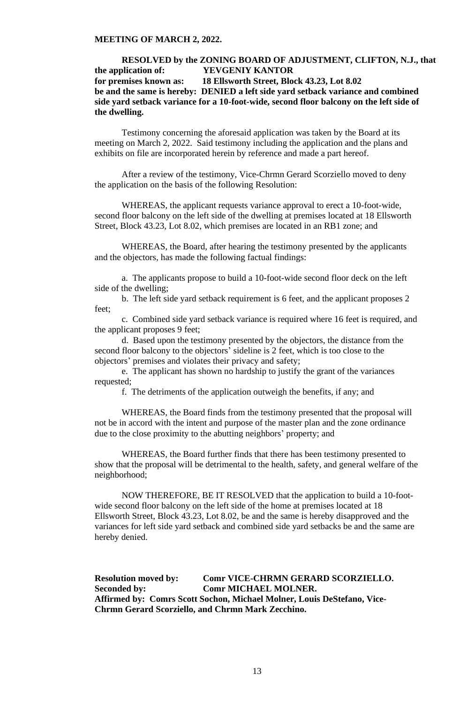# **RESOLVED by the ZONING BOARD OF ADJUSTMENT, CLIFTON, N.J., that the application of: YEVGENIY KANTOR for premises known as: 18 Ellsworth Street, Block 43.23, Lot 8.02 be and the same is hereby: DENIED a left side yard setback variance and combined side yard setback variance for a 10-foot-wide, second floor balcony on the left side of the dwelling.**

Testimony concerning the aforesaid application was taken by the Board at its meeting on March 2, 2022. Said testimony including the application and the plans and exhibits on file are incorporated herein by reference and made a part hereof.

After a review of the testimony, Vice-Chrmn Gerard Scorziello moved to deny the application on the basis of the following Resolution:

WHEREAS, the applicant requests variance approval to erect a 10-foot-wide, second floor balcony on the left side of the dwelling at premises located at 18 Ellsworth Street, Block 43.23, Lot 8.02, which premises are located in an RB1 zone; and

WHEREAS, the Board, after hearing the testimony presented by the applicants and the objectors, has made the following factual findings:

a. The applicants propose to build a 10-foot-wide second floor deck on the left side of the dwelling;

b. The left side yard setback requirement is 6 feet, and the applicant proposes 2 feet;

c. Combined side yard setback variance is required where 16 feet is required, and the applicant proposes 9 feet;

d. Based upon the testimony presented by the objectors, the distance from the second floor balcony to the objectors' sideline is 2 feet, which is too close to the objectors' premises and violates their privacy and safety;

e. The applicant has shown no hardship to justify the grant of the variances requested;

f. The detriments of the application outweigh the benefits, if any; and

WHEREAS, the Board finds from the testimony presented that the proposal will not be in accord with the intent and purpose of the master plan and the zone ordinance due to the close proximity to the abutting neighbors' property; and

WHEREAS, the Board further finds that there has been testimony presented to show that the proposal will be detrimental to the health, safety, and general welfare of the neighborhood;

NOW THEREFORE, BE IT RESOLVED that the application to build a 10-footwide second floor balcony on the left side of the home at premises located at 18 Ellsworth Street, Block 43.23, Lot 8.02, be and the same is hereby disapproved and the variances for left side yard setback and combined side yard setbacks be and the same are hereby denied.

**Resolution moved by: Comr VICE-CHRMN GERARD SCORZIELLO. Seconded by: Comr MICHAEL MOLNER. Affirmed by: Comrs Scott Sochon, Michael Molner, Louis DeStefano, Vice-Chrmn Gerard Scorziello, and Chrmn Mark Zecchino.**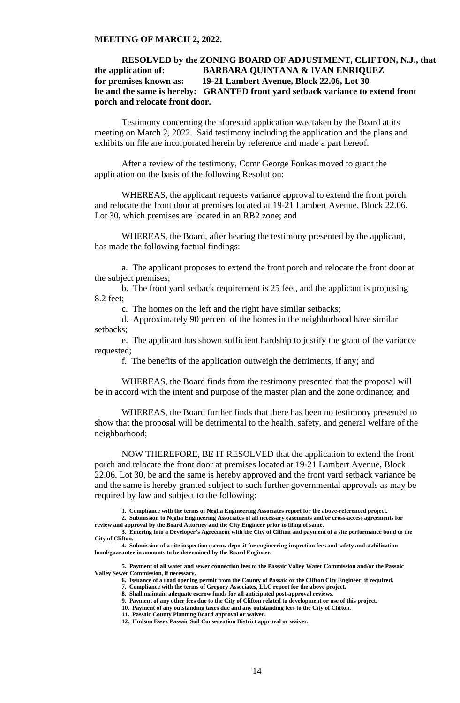# **RESOLVED by the ZONING BOARD OF ADJUSTMENT, CLIFTON, N.J., that the application of: BARBARA QUINTANA & IVAN ENRIQUEZ for premises known as: 19-21 Lambert Avenue, Block 22.06, Lot 30 be and the same is hereby: GRANTED front yard setback variance to extend front porch and relocate front door.**

Testimony concerning the aforesaid application was taken by the Board at its meeting on March 2, 2022. Said testimony including the application and the plans and exhibits on file are incorporated herein by reference and made a part hereof.

After a review of the testimony, Comr George Foukas moved to grant the application on the basis of the following Resolution:

WHEREAS, the applicant requests variance approval to extend the front porch and relocate the front door at premises located at 19-21 Lambert Avenue, Block 22.06, Lot 30, which premises are located in an RB2 zone; and

WHEREAS, the Board, after hearing the testimony presented by the applicant, has made the following factual findings:

a. The applicant proposes to extend the front porch and relocate the front door at the subject premises;

b. The front yard setback requirement is 25 feet, and the applicant is proposing 8.2 feet;

c. The homes on the left and the right have similar setbacks;

d. Approximately 90 percent of the homes in the neighborhood have similar setbacks;

e. The applicant has shown sufficient hardship to justify the grant of the variance requested;

f. The benefits of the application outweigh the detriments, if any; and

WHEREAS, the Board finds from the testimony presented that the proposal will be in accord with the intent and purpose of the master plan and the zone ordinance; and

WHEREAS, the Board further finds that there has been no testimony presented to show that the proposal will be detrimental to the health, safety, and general welfare of the neighborhood;

NOW THEREFORE, BE IT RESOLVED that the application to extend the front porch and relocate the front door at premises located at 19-21 Lambert Avenue, Block 22.06, Lot 30, be and the same is hereby approved and the front yard setback variance be and the same is hereby granted subject to such further governmental approvals as may be required by law and subject to the following:

**1. Compliance with the terms of Neglia Engineering Associates report for the above-referenced project.**

**2. Submission to Neglia Engineering Associates of all necessary easements and/or cross-access agreements for review and approval by the Board Attorney and the City Engineer prior to filing of same.**

**3. Entering into a Developer's Agreement with the City of Clifton and payment of a site performance bond to the City of Clifton.**

**4. Submission of a site inspection escrow deposit for engineering inspection fees and safety and stabilization bond/guarantee in amounts to be determined by the Board Engineer.**

**5. Payment of all water and sewer connection fees to the Passaic Valley Water Commission and/or the Passaic Valley Sewer Commission, if necessary.**

**6. Issuance of a road opening permit from the County of Passaic or the Clifton City Engineer, if required.**

**7. Compliance with the terms of Gregory Associates, LLC report for the above project.**

**8. Shall maintain adequate escrow funds for all anticipated post-approval reviews.**

**9. Payment of any other fees due to the City of Clifton related to development or use of this project. 10. Payment of any outstanding taxes due and any outstanding fees to the City of Clifton.**

**11. Passaic County Planning Board approval or waiver.**

**12. Hudson Essex Passaic Soil Conservation District approval or waiver.**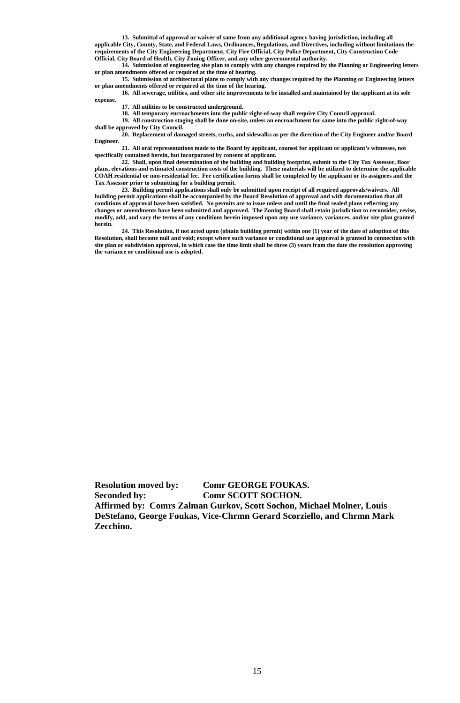**13. Submittal of approval or waiver of same from any additional agency having jurisdiction, including all applicable City, County, State, and Federal Laws, Ordinances, Regulations, and Directives, including without limitations the requirements of the City Engineering Department, City Fire Official, City Police Department, City Construction Code Official, City Board of Health, City Zoning Officer, and any other governmental authority.**

**14. Submission of engineering site plan to comply with any changes required by the Planning or Engineering letters or plan amendments offered or required at the time of hearing.**

**15. Submission of architectural plans to comply with any changes required by the Planning or Engineering letters or plan amendments offered or required at the time of the hearing.**

**16. All sewerage, utilities, and other site improvements to be installed and maintained by the applicant at its sole expense.**

**17. All utilities to be constructed underground.**

**18. All temporary encroachments into the public right-of-way shall require City Council approval.**

**19. All construction staging shall be done on-site, unless an encroachment for same into the public right-of-way** 

**shall be approved by City Council. 20. Replacement of damaged streets, curbs, and sidewalks as per the direction of the City Engineer and/or Board Engineer.**

**21. All oral representations made to the Board by applicant, counsel for applicant or applicant's witnesses, not specifically contained herein, but incorporated by consent of applicant.**

**22. Shall, upon final determination of the building and building footprint, submit to the City Tax Assessor, floor plans, elevations and estimated construction costs of the building. These materials will be utilized to determine the applicable COAH residential or non-residential fee. Fee certification forms shall be completed by the applicant or its assignees and the Tax Assessor prior to submitting for a building permit.**

**23. Building permit applications shall only be submitted upon receipt of all required approvals/waivers. All building permit applications shall be accompanied by the Board Resolution of approval and with documentation that all conditions of approval have been satisfied. No permits are to issue unless and until the final sealed plans reflecting any changes or amendments have been submitted and approved. The Zoning Board shall retain jurisdiction to reconsider, revise, modify, add, and vary the terms of any conditions herein imposed upon any use variance, variances, and/or site plan granted herein.**

**24. This Resolution, if not acted upon (obtain building permit) within one (1) year of the date of adoption of this Resolution, shall become null and void; except where such variance or conditional use approval is granted in connection with site plan or subdivision approval, in which case the time limit shall be three (3) years from the date the resolution approving the variance or conditional use is adopted.**

**Resolution moved by: Comr GEORGE FOUKAS. Seconded by: Comr SCOTT SOCHON. Affirmed by: Comrs Zalman Gurkov, Scott Sochon, Michael Molner, Louis DeStefano, George Foukas, Vice-Chrmn Gerard Scorziello, and Chrmn Mark Zecchino.**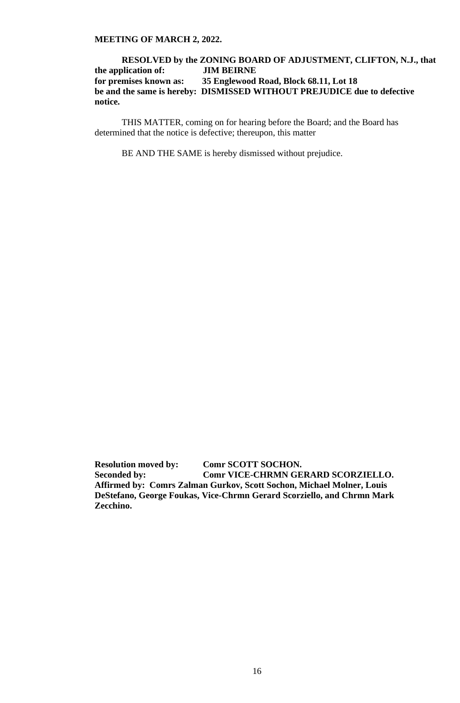# **RESOLVED by the ZONING BOARD OF ADJUSTMENT, CLIFTON, N.J., that the application of: JIM BEIRNE for premises known as: 35 Englewood Road, Block 68.11, Lot 18 be and the same is hereby: DISMISSED WITHOUT PREJUDICE due to defective notice.**

THIS MATTER, coming on for hearing before the Board; and the Board has determined that the notice is defective; thereupon, this matter

BE AND THE SAME is hereby dismissed without prejudice.

**Resolution moved by: Comr SCOTT SOCHON. Seconded by: Comr VICE-CHRMN GERARD SCORZIELLO. Affirmed by: Comrs Zalman Gurkov, Scott Sochon, Michael Molner, Louis DeStefano, George Foukas, Vice-Chrmn Gerard Scorziello, and Chrmn Mark Zecchino.**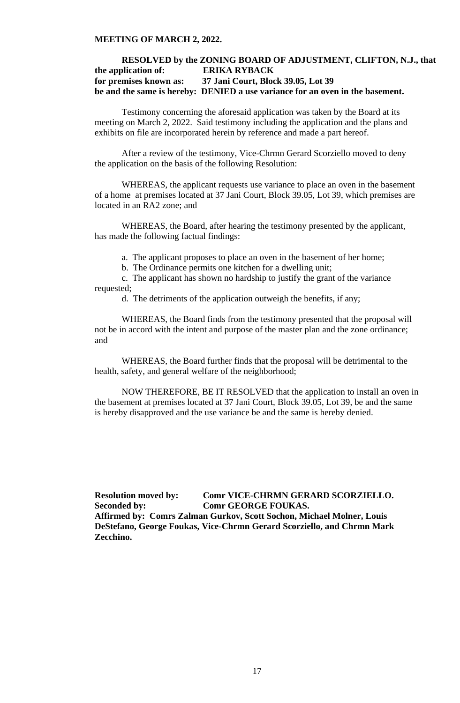# **RESOLVED by the ZONING BOARD OF ADJUSTMENT, CLIFTON, N.J., that the application of: ERIKA RYBACK for premises known as: 37 Jani Court, Block 39.05, Lot 39 be and the same is hereby: DENIED a use variance for an oven in the basement.**

Testimony concerning the aforesaid application was taken by the Board at its meeting on March 2, 2022. Said testimony including the application and the plans and exhibits on file are incorporated herein by reference and made a part hereof.

After a review of the testimony, Vice-Chrmn Gerard Scorziello moved to deny the application on the basis of the following Resolution:

WHEREAS, the applicant requests use variance to place an oven in the basement of a home at premises located at 37 Jani Court, Block 39.05, Lot 39, which premises are located in an RA2 zone; and

WHEREAS, the Board, after hearing the testimony presented by the applicant, has made the following factual findings:

a. The applicant proposes to place an oven in the basement of her home;

b. The Ordinance permits one kitchen for a dwelling unit;

c. The applicant has shown no hardship to justify the grant of the variance requested;

d. The detriments of the application outweigh the benefits, if any;

WHEREAS, the Board finds from the testimony presented that the proposal will not be in accord with the intent and purpose of the master plan and the zone ordinance; and

WHEREAS, the Board further finds that the proposal will be detrimental to the health, safety, and general welfare of the neighborhood;

NOW THEREFORE, BE IT RESOLVED that the application to install an oven in the basement at premises located at 37 Jani Court, Block 39.05, Lot 39, be and the same is hereby disapproved and the use variance be and the same is hereby denied.

**Resolution moved by: Comr VICE-CHRMN GERARD SCORZIELLO. Seconded by: Comr GEORGE FOUKAS. Affirmed by: Comrs Zalman Gurkov, Scott Sochon, Michael Molner, Louis DeStefano, George Foukas, Vice-Chrmn Gerard Scorziello, and Chrmn Mark Zecchino.**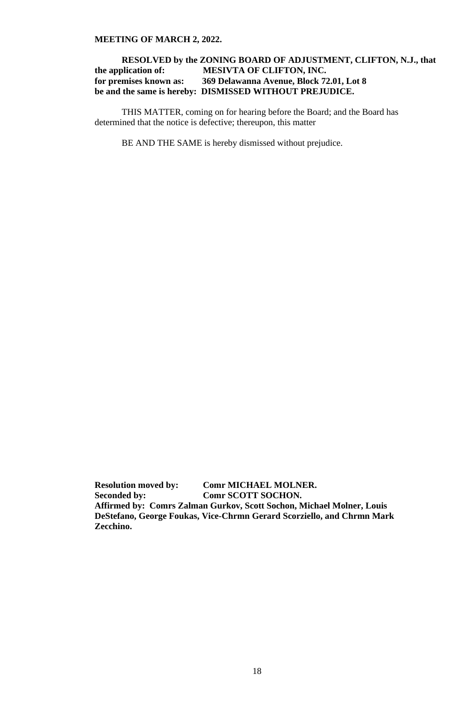# **RESOLVED by the ZONING BOARD OF ADJUSTMENT, CLIFTON, N.J., that the application of: MESIVTA OF CLIFTON, INC. for premises known as: 369 Delawanna Avenue, Block 72.01, Lot 8 be and the same is hereby: DISMISSED WITHOUT PREJUDICE.**

THIS MATTER, coming on for hearing before the Board; and the Board has determined that the notice is defective; thereupon, this matter

BE AND THE SAME is hereby dismissed without prejudice.

**Resolution moved by: Comr MICHAEL MOLNER. Seconded by: Comr SCOTT SOCHON. Affirmed by: Comrs Zalman Gurkov, Scott Sochon, Michael Molner, Louis DeStefano, George Foukas, Vice-Chrmn Gerard Scorziello, and Chrmn Mark Zecchino.**